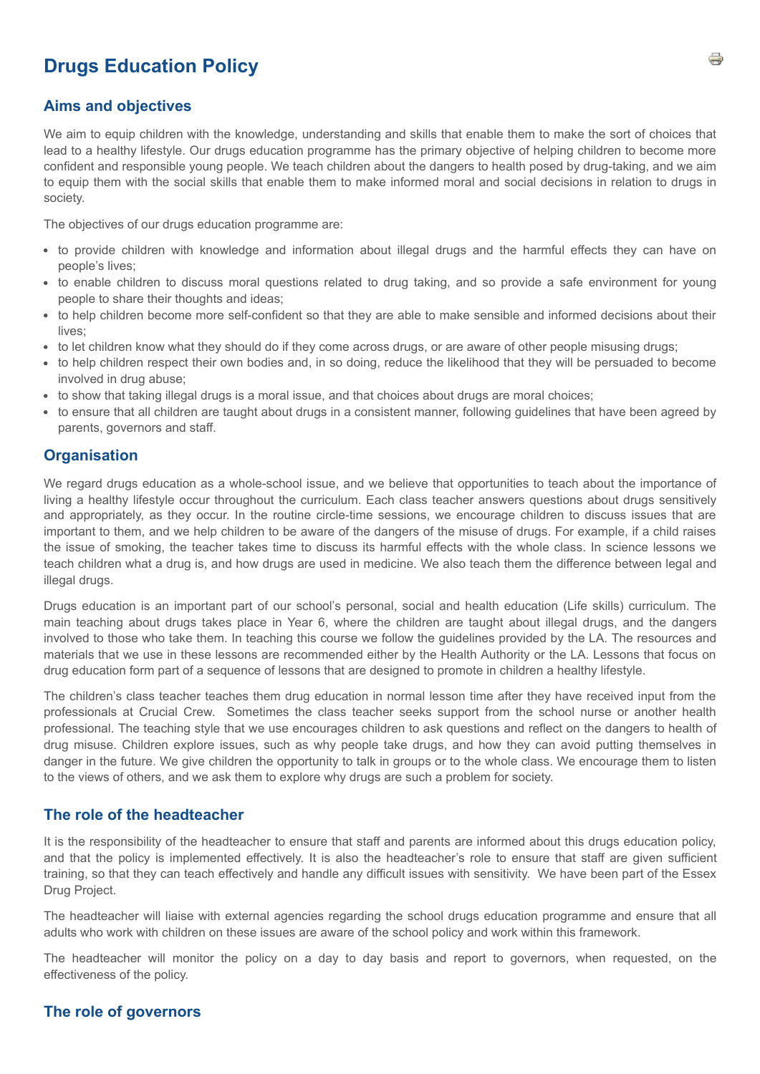# **Drugs Education Policy**

#### **Aims and objectives**

We aim to equip children with the knowledge, understanding and skills that enable them to make the sort of choices that lead to a healthy lifestyle. Our drugs education programme has the primary objective of helping children to become more confident and responsible young people. We teach children about the dangers to health posed by drug-taking, and we aim to equip them with the social skills that enable them to make informed moral and social decisions in relation to drugs in society.

The objectives of our drugs education programme are:

- to provide children with knowledge and information about illegal drugs and the harmful effects they can have on people's lives;
- to enable children to discuss moral questions related to drug taking, and so provide a safe environment for young people to share their thoughts and ideas;
- to help children become more self-confident so that they are able to make sensible and informed decisions about their lives;
- to let children know what they should do if they come across drugs, or are aware of other people misusing drugs;
- to help children respect their own bodies and, in so doing, reduce the likelihood that they will be persuaded to become involved in drug abuse;
- to show that taking illegal drugs is a moral issue, and that choices about drugs are moral choices;
- to ensure that all children are taught about drugs in a consistent manner, following guidelines that have been agreed by parents, governors and staff.

# **Organisation**

We regard drugs education as a whole-school issue, and we believe that opportunities to teach about the importance of living a healthy lifestyle occur throughout the curriculum. Each class teacher answers questions about drugs sensitively and appropriately, as they occur. In the routine circle-time sessions, we encourage children to discuss issues that are important to them, and we help children to be aware of the dangers of the misuse of drugs. For example, if a child raises the issue of smoking, the teacher takes time to discuss its harmful effects with the whole class. In science lessons we teach children what a drug is, and how drugs are used in medicine. We also teach them the difference between legal and illegal drugs.

Drugs education is an important part of our school's personal, social and health education (Life skills) curriculum. The main teaching about drugs takes place in Year 6, where the children are taught about illegal drugs, and the dangers involved to those who take them. In teaching this course we follow the guidelines provided by the LA. The resources and materials that we use in these lessons are recommended either by the Health Authority or the LA. Lessons that focus on drug education form part of a sequence of lessons that are designed to promote in children a healthy lifestyle.

The children's class teacher teaches them drug education in normal lesson time after they have received input from the professionals at Crucial Crew. Sometimes the class teacher seeks support from the school nurse or another health professional. The teaching style that we use encourages children to ask questions and reflect on the dangers to health of drug misuse. Children explore issues, such as why people take drugs, and how they can avoid putting themselves in danger in the future. We give children the opportunity to talk in groups or to the whole class. We encourage them to listen to the views of others, and we ask them to explore why drugs are such a problem for society.

#### **The role of the headteacher**

It is the responsibility of the headteacher to ensure that staff and parents are informed about this drugs education policy, and that the policy is implemented effectively. It is also the headteacher's role to ensure that staff are given sufficient training, so that they can teach effectively and handle any difficult issues with sensitivity. We have been part of the Essex Drug Project.

The headteacher will liaise with external agencies regarding the school drugs education programme and ensure that all adults who work with children on these issues are aware of the school policy and work within this framework.

The headteacher will monitor the policy on a day to day basis and report to governors, when requested, on the effectiveness of the policy.

# **The role of governors**